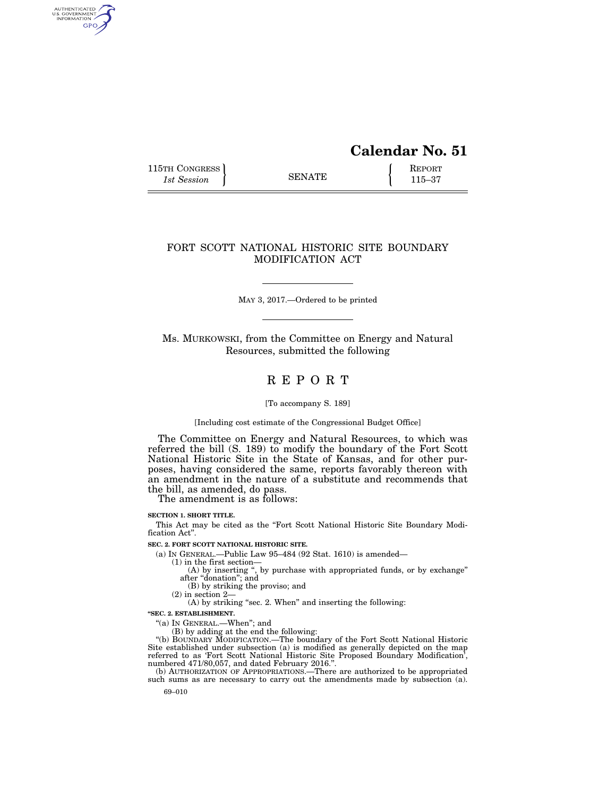# **Calendar No. 51**

115TH CONGRESS REPORT 115-37

AUTHENTICATED<br>U.S. GOVERNMENT<br>INFORMATION GPO

## FORT SCOTT NATIONAL HISTORIC SITE BOUNDARY MODIFICATION ACT

MAY 3, 2017.—Ordered to be printed

Ms. MURKOWSKI, from the Committee on Energy and Natural Resources, submitted the following

## R E P O R T

#### [To accompany S. 189]

#### [Including cost estimate of the Congressional Budget Office]

The Committee on Energy and Natural Resources, to which was referred the bill (S. 189) to modify the boundary of the Fort Scott National Historic Site in the State of Kansas, and for other purposes, having considered the same, reports favorably thereon with an amendment in the nature of a substitute and recommends that the bill, as amended, do pass.

The amendment is as follows:

#### **SECTION 1. SHORT TITLE.**

This Act may be cited as the "Fort Scott National Historic Site Boundary Modification Act''.

#### **SEC. 2. FORT SCOTT NATIONAL HISTORIC SITE.**

(a) IN GENERAL.—Public Law 95–484 (92 Stat. 1610) is amended—

(1) in the first section—

- (A) by inserting ", by purchase with appropriated funds, or by exchange" after ''donation''; and
- (B) by striking the proviso; and
- (2) in section 2—
- (A) by striking "sec. 2. When" and inserting the following:

**''SEC. 2. ESTABLISHMENT.** 

"(a) In GENERAL.—When"; and

(B) by adding at the end the following:

''(b) BOUNDARY MODIFICATION.—The boundary of the Fort Scott National Historic Site established under subsection (a) is modified as generally depicted on the map referred to as 'Fort Scott National Historic Site Proposed Boundary Modification', numbered 471/80,057, and dated February 2016.''. (b) AUTHORIZATION OF APPROPRIATIONS.—There are authorized to be appropriated

such sums as are necessary to carry out the amendments made by subsection (a).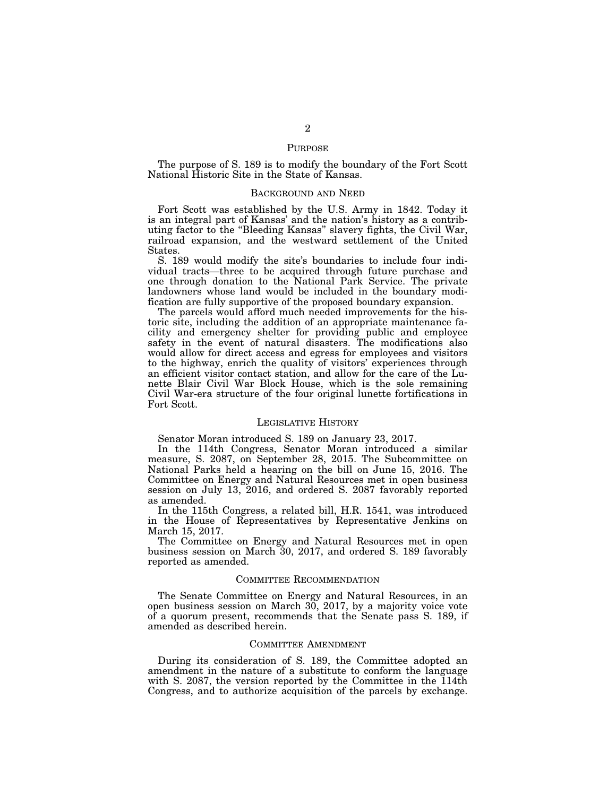#### PURPOSE

The purpose of S. 189 is to modify the boundary of the Fort Scott National Historic Site in the State of Kansas.

## BACKGROUND AND NEED

Fort Scott was established by the U.S. Army in 1842. Today it is an integral part of Kansas' and the nation's history as a contributing factor to the ''Bleeding Kansas'' slavery fights, the Civil War, railroad expansion, and the westward settlement of the United States.

S. 189 would modify the site's boundaries to include four individual tracts—three to be acquired through future purchase and one through donation to the National Park Service. The private landowners whose land would be included in the boundary modification are fully supportive of the proposed boundary expansion.

The parcels would afford much needed improvements for the historic site, including the addition of an appropriate maintenance facility and emergency shelter for providing public and employee safety in the event of natural disasters. The modifications also would allow for direct access and egress for employees and visitors to the highway, enrich the quality of visitors' experiences through an efficient visitor contact station, and allow for the care of the Lunette Blair Civil War Block House, which is the sole remaining Civil War-era structure of the four original lunette fortifications in Fort Scott.

### LEGISLATIVE HISTORY

Senator Moran introduced S. 189 on January 23, 2017.

In the 114th Congress, Senator Moran introduced a similar measure, S. 2087, on September 28, 2015. The Subcommittee on National Parks held a hearing on the bill on June 15, 2016. The Committee on Energy and Natural Resources met in open business session on July 13, 2016, and ordered S. 2087 favorably reported as amended.

In the 115th Congress, a related bill, H.R. 1541, was introduced in the House of Representatives by Representative Jenkins on March 15, 2017.

The Committee on Energy and Natural Resources met in open business session on March 30, 2017, and ordered S. 189 favorably reported as amended.

## COMMITTEE RECOMMENDATION

The Senate Committee on Energy and Natural Resources, in an open business session on March 30, 2017, by a majority voice vote of a quorum present, recommends that the Senate pass S. 189, if amended as described herein.

#### COMMITTEE AMENDMENT

During its consideration of S. 189, the Committee adopted an amendment in the nature of a substitute to conform the language with S. 2087, the version reported by the Committee in the 114th Congress, and to authorize acquisition of the parcels by exchange.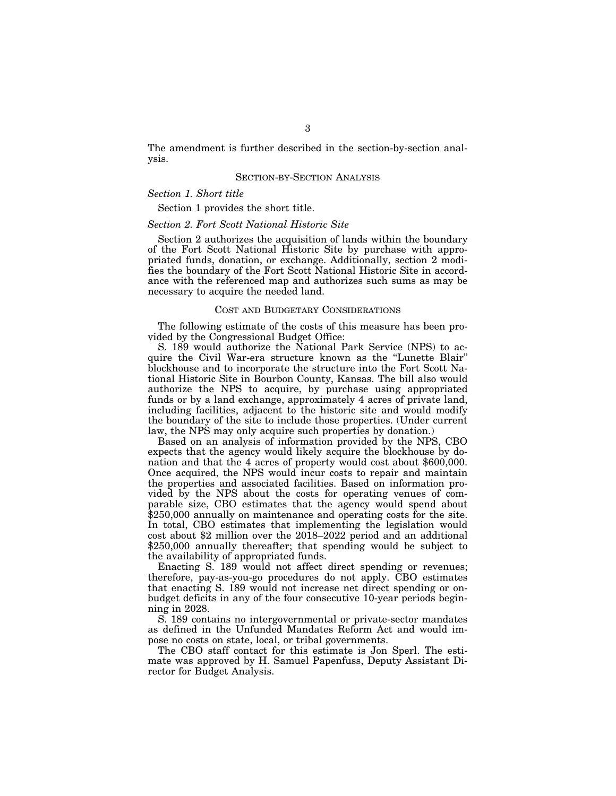The amendment is further described in the section-by-section analysis.

## SECTION-BY-SECTION ANALYSIS

## *Section 1. Short title*

Section 1 provides the short title.

## *Section 2. Fort Scott National Historic Site*

Section 2 authorizes the acquisition of lands within the boundary of the Fort Scott National Historic Site by purchase with appropriated funds, donation, or exchange. Additionally, section 2 modifies the boundary of the Fort Scott National Historic Site in accordance with the referenced map and authorizes such sums as may be necessary to acquire the needed land.

## COST AND BUDGETARY CONSIDERATIONS

The following estimate of the costs of this measure has been provided by the Congressional Budget Office:

S. 189 would authorize the National Park Service (NPS) to acquire the Civil War-era structure known as the ''Lunette Blair'' blockhouse and to incorporate the structure into the Fort Scott National Historic Site in Bourbon County, Kansas. The bill also would authorize the NPS to acquire, by purchase using appropriated funds or by a land exchange, approximately 4 acres of private land, including facilities, adjacent to the historic site and would modify the boundary of the site to include those properties. (Under current law, the NPS may only acquire such properties by donation.)

Based on an analysis of information provided by the NPS, CBO expects that the agency would likely acquire the blockhouse by donation and that the 4 acres of property would cost about \$600,000. Once acquired, the NPS would incur costs to repair and maintain the properties and associated facilities. Based on information provided by the NPS about the costs for operating venues of comparable size, CBO estimates that the agency would spend about \$250,000 annually on maintenance and operating costs for the site. In total, CBO estimates that implementing the legislation would cost about \$2 million over the 2018–2022 period and an additional \$250,000 annually thereafter; that spending would be subject to the availability of appropriated funds.

Enacting S. 189 would not affect direct spending or revenues; therefore, pay-as-you-go procedures do not apply. CBO estimates that enacting S. 189 would not increase net direct spending or onbudget deficits in any of the four consecutive 10-year periods beginning in 2028.

S. 189 contains no intergovernmental or private-sector mandates as defined in the Unfunded Mandates Reform Act and would impose no costs on state, local, or tribal governments.

The CBO staff contact for this estimate is Jon Sperl. The estimate was approved by H. Samuel Papenfuss, Deputy Assistant Director for Budget Analysis.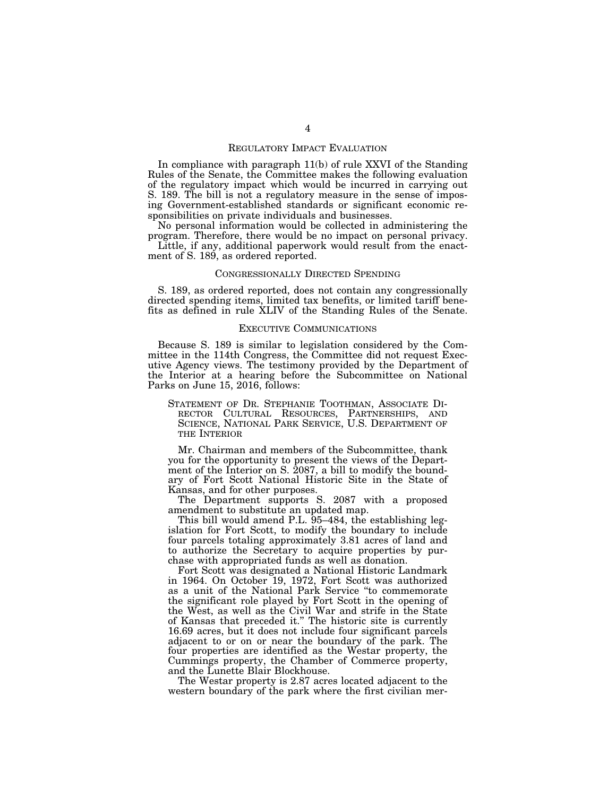### REGULATORY IMPACT EVALUATION

In compliance with paragraph 11(b) of rule XXVI of the Standing Rules of the Senate, the Committee makes the following evaluation of the regulatory impact which would be incurred in carrying out S. 189. The bill is not a regulatory measure in the sense of imposing Government-established standards or significant economic responsibilities on private individuals and businesses.

No personal information would be collected in administering the program. Therefore, there would be no impact on personal privacy.

Little, if any, additional paperwork would result from the enactment of S. 189, as ordered reported.

## CONGRESSIONALLY DIRECTED SPENDING

S. 189, as ordered reported, does not contain any congressionally directed spending items, limited tax benefits, or limited tariff benefits as defined in rule XLIV of the Standing Rules of the Senate.

#### EXECUTIVE COMMUNICATIONS

Because S. 189 is similar to legislation considered by the Committee in the 114th Congress, the Committee did not request Executive Agency views. The testimony provided by the Department of the Interior at a hearing before the Subcommittee on National Parks on June 15, 2016, follows:

STATEMENT OF DR. STEPHANIE TOOTHMAN, ASSOCIATE DI-RECTOR CULTURAL RESOURCES, PARTNERSHIPS, AND SCIENCE, NATIONAL PARK SERVICE, U.S. DEPARTMENT OF THE INTERIOR

Mr. Chairman and members of the Subcommittee, thank you for the opportunity to present the views of the Department of the Interior on S. 2087, a bill to modify the boundary of Fort Scott National Historic Site in the State of Kansas, and for other purposes.

The Department supports S. 2087 with a proposed amendment to substitute an updated map.

This bill would amend P.L. 95–484, the establishing legislation for Fort Scott, to modify the boundary to include four parcels totaling approximately 3.81 acres of land and to authorize the Secretary to acquire properties by purchase with appropriated funds as well as donation.

Fort Scott was designated a National Historic Landmark in 1964. On October 19, 1972, Fort Scott was authorized as a unit of the National Park Service ''to commemorate the significant role played by Fort Scott in the opening of the West, as well as the Civil War and strife in the State of Kansas that preceded it.'' The historic site is currently 16.69 acres, but it does not include four significant parcels adjacent to or on or near the boundary of the park. The four properties are identified as the Westar property, the Cummings property, the Chamber of Commerce property, and the Lunette Blair Blockhouse.

The Westar property is 2.87 acres located adjacent to the western boundary of the park where the first civilian mer-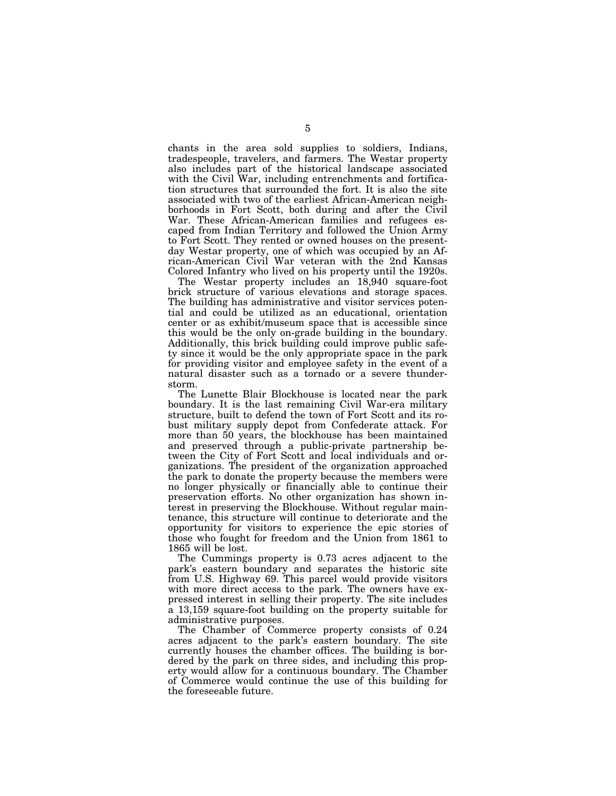chants in the area sold supplies to soldiers, Indians, tradespeople, travelers, and farmers. The Westar property also includes part of the historical landscape associated with the Civil War, including entrenchments and fortification structures that surrounded the fort. It is also the site associated with two of the earliest African-American neighborhoods in Fort Scott, both during and after the Civil War. These African-American families and refugees escaped from Indian Territory and followed the Union Army to Fort Scott. They rented or owned houses on the presentday Westar property, one of which was occupied by an African-American Civil War veteran with the 2nd Kansas Colored Infantry who lived on his property until the 1920s.

The Westar property includes an 18,940 square-foot brick structure of various elevations and storage spaces. The building has administrative and visitor services potential and could be utilized as an educational, orientation center or as exhibit/museum space that is accessible since this would be the only on-grade building in the boundary. Additionally, this brick building could improve public safety since it would be the only appropriate space in the park for providing visitor and employee safety in the event of a natural disaster such as a tornado or a severe thunderstorm.

The Lunette Blair Blockhouse is located near the park boundary. It is the last remaining Civil War-era military structure, built to defend the town of Fort Scott and its robust military supply depot from Confederate attack. For more than 50 years, the blockhouse has been maintained and preserved through a public-private partnership between the City of Fort Scott and local individuals and organizations. The president of the organization approached the park to donate the property because the members were no longer physically or financially able to continue their preservation efforts. No other organization has shown interest in preserving the Blockhouse. Without regular maintenance, this structure will continue to deteriorate and the opportunity for visitors to experience the epic stories of those who fought for freedom and the Union from 1861 to 1865 will be lost.

The Cummings property is 0.73 acres adjacent to the park's eastern boundary and separates the historic site from U.S. Highway 69. This parcel would provide visitors with more direct access to the park. The owners have expressed interest in selling their property. The site includes a 13,159 square-foot building on the property suitable for administrative purposes.

The Chamber of Commerce property consists of 0.24 acres adjacent to the park's eastern boundary. The site currently houses the chamber offices. The building is bordered by the park on three sides, and including this property would allow for a continuous boundary. The Chamber of Commerce would continue the use of this building for the foreseeable future.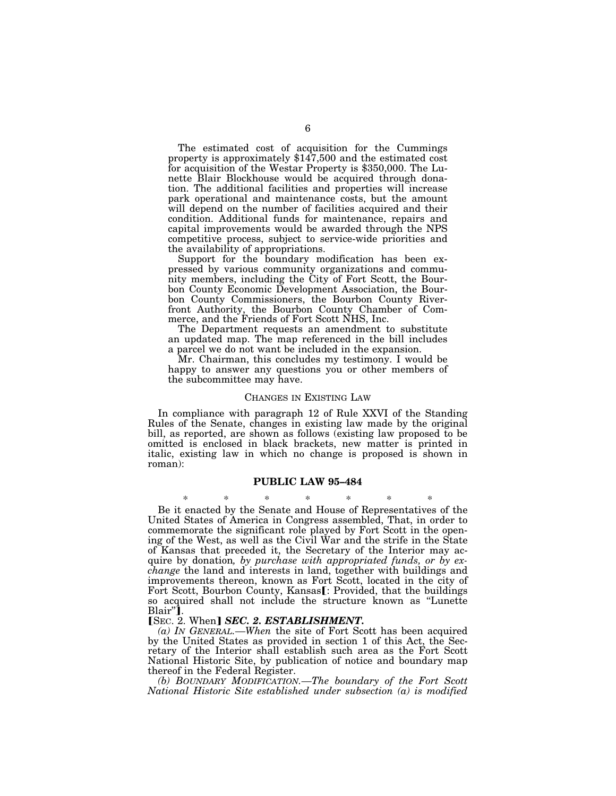The estimated cost of acquisition for the Cummings property is approximately \$147,500 and the estimated cost for acquisition of the Westar Property is \$350,000. The Lunette Blair Blockhouse would be acquired through donation. The additional facilities and properties will increase park operational and maintenance costs, but the amount will depend on the number of facilities acquired and their condition. Additional funds for maintenance, repairs and capital improvements would be awarded through the NPS competitive process, subject to service-wide priorities and the availability of appropriations.

Support for the boundary modification has been expressed by various community organizations and community members, including the City of Fort Scott, the Bourbon County Economic Development Association, the Bourbon County Commissioners, the Bourbon County Riverfront Authority, the Bourbon County Chamber of Commerce, and the Friends of Fort Scott NHS, Inc.

The Department requests an amendment to substitute an updated map. The map referenced in the bill includes a parcel we do not want be included in the expansion.

Mr. Chairman, this concludes my testimony. I would be happy to answer any questions you or other members of the subcommittee may have.

#### CHANGES IN EXISTING LAW

In compliance with paragraph 12 of Rule XXVI of the Standing Rules of the Senate, changes in existing law made by the original bill, as reported, are shown as follows (existing law proposed to be omitted is enclosed in black brackets, new matter is printed in italic, existing law in which no change is proposed is shown in roman):

#### **PUBLIC LAW 95–484**

\* \* \* \* \* \* \* Be it enacted by the Senate and House of Representatives of the United States of America in Congress assembled, That, in order to commemorate the significant role played by Fort Scott in the opening of the West, as well as the Civil War and the strife in the State of Kansas that preceded it, the Secretary of the Interior may acquire by donation*, by purchase with appropriated funds, or by exchange* the land and interests in land, together with buildings and improvements thereon, known as Fort Scott, located in the city of Fort Scott, Bourbon County, Kansas[: Provided, that the buildings so acquired shall not include the structure known as ''Lunette Blair"].

#### **[SEC. 2. When]** *SEC. 2. ESTABLISHMENT*.

*(a) IN GENERAL.—When* the site of Fort Scott has been acquired by the United States as provided in section 1 of this Act, the Secretary of the Interior shall establish such area as the Fort Scott National Historic Site, by publication of notice and boundary map thereof in the Federal Register.

*(b) BOUNDARY MODIFICATION.—The boundary of the Fort Scott National Historic Site established under subsection (a) is modified*